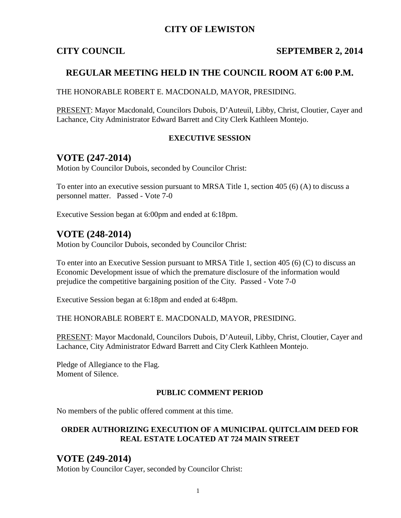## **CITY OF LEWISTON**

### **CITY COUNCIL SEPTEMBER 2, 2014**

## **REGULAR MEETING HELD IN THE COUNCIL ROOM AT 6:00 P.M.**

THE HONORABLE ROBERT E. MACDONALD, MAYOR, PRESIDING.

PRESENT: Mayor Macdonald, Councilors Dubois, D'Auteuil, Libby, Christ, Cloutier, Cayer and Lachance, City Administrator Edward Barrett and City Clerk Kathleen Montejo.

#### **EXECUTIVE SESSION**

## **VOTE (247-2014)**

Motion by Councilor Dubois, seconded by Councilor Christ:

To enter into an executive session pursuant to MRSA Title 1, section 405 (6) (A) to discuss a personnel matter. Passed - Vote 7-0

Executive Session began at 6:00pm and ended at 6:18pm.

## **VOTE (248-2014)**

Motion by Councilor Dubois, seconded by Councilor Christ:

To enter into an Executive Session pursuant to MRSA Title 1, section 405 (6) (C) to discuss an Economic Development issue of which the premature disclosure of the information would prejudice the competitive bargaining position of the City. Passed - Vote 7-0

Executive Session began at 6:18pm and ended at 6:48pm.

THE HONORABLE ROBERT E. MACDONALD, MAYOR, PRESIDING.

PRESENT: Mayor Macdonald, Councilors Dubois, D'Auteuil, Libby, Christ, Cloutier, Cayer and Lachance, City Administrator Edward Barrett and City Clerk Kathleen Montejo.

Pledge of Allegiance to the Flag. Moment of Silence.

#### **PUBLIC COMMENT PERIOD**

No members of the public offered comment at this time.

#### **ORDER AUTHORIZING EXECUTION OF A MUNICIPAL QUITCLAIM DEED FOR REAL ESTATE LOCATED AT 724 MAIN STREET**

# **VOTE (249-2014)**

Motion by Councilor Cayer, seconded by Councilor Christ: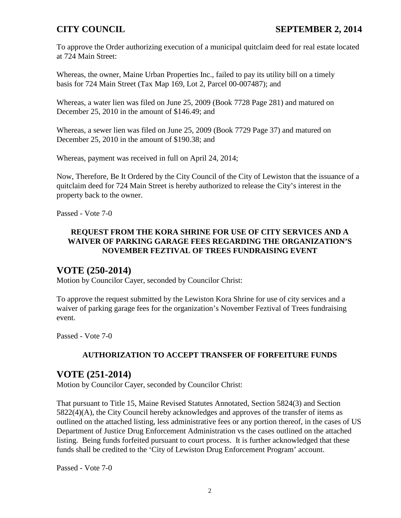To approve the Order authorizing execution of a municipal quitclaim deed for real estate located at 724 Main Street:

Whereas, the owner, Maine Urban Properties Inc., failed to pay its utility bill on a timely basis for 724 Main Street (Tax Map 169, Lot 2, Parcel 00-007487); and

Whereas, a water lien was filed on June 25, 2009 (Book 7728 Page 281) and matured on December 25, 2010 in the amount of \$146.49; and

Whereas, a sewer lien was filed on June 25, 2009 (Book 7729 Page 37) and matured on December 25, 2010 in the amount of \$190.38; and

Whereas, payment was received in full on April 24, 2014;

Now, Therefore, Be It Ordered by the City Council of the City of Lewiston that the issuance of a quitclaim deed for 724 Main Street is hereby authorized to release the City's interest in the property back to the owner.

Passed - Vote 7-0

### **REQUEST FROM THE KORA SHRINE FOR USE OF CITY SERVICES AND A WAIVER OF PARKING GARAGE FEES REGARDING THE ORGANIZATION'S NOVEMBER FEZTIVAL OF TREES FUNDRAISING EVENT**

## **VOTE (250-2014)**

Motion by Councilor Cayer, seconded by Councilor Christ:

To approve the request submitted by the Lewiston Kora Shrine for use of city services and a waiver of parking garage fees for the organization's November Feztival of Trees fundraising event.

Passed - Vote 7-0

## **AUTHORIZATION TO ACCEPT TRANSFER OF FORFEITURE FUNDS**

## **VOTE (251-2014)**

Motion by Councilor Cayer, seconded by Councilor Christ:

That pursuant to Title 15, Maine Revised Statutes Annotated, Section 5824(3) and Section 5822(4)(A), the City Council hereby acknowledges and approves of the transfer of items as outlined on the attached listing, less administrative fees or any portion thereof, in the cases of US Department of Justice Drug Enforcement Administration vs the cases outlined on the attached listing. Being funds forfeited pursuant to court process. It is further acknowledged that these funds shall be credited to the 'City of Lewiston Drug Enforcement Program' account.

Passed - Vote 7-0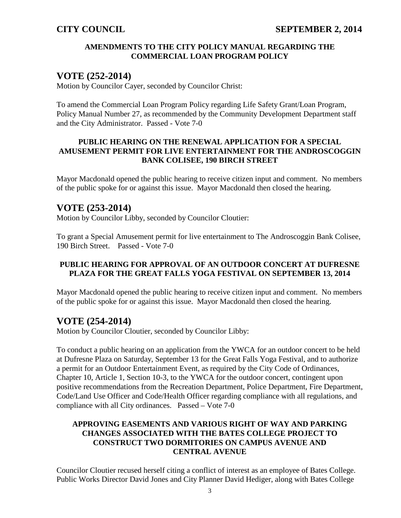### **AMENDMENTS TO THE CITY POLICY MANUAL REGARDING THE COMMERCIAL LOAN PROGRAM POLICY**

## **VOTE (252-2014)**

Motion by Councilor Cayer, seconded by Councilor Christ:

To amend the Commercial Loan Program Policy regarding Life Safety Grant/Loan Program, Policy Manual Number 27, as recommended by the Community Development Department staff and the City Administrator. Passed - Vote 7-0

#### **PUBLIC HEARING ON THE RENEWAL APPLICATION FOR A SPECIAL AMUSEMENT PERMIT FOR LIVE ENTERTAINMENT FOR THE ANDROSCOGGIN BANK COLISEE, 190 BIRCH STREET**

Mayor Macdonald opened the public hearing to receive citizen input and comment. No members of the public spoke for or against this issue. Mayor Macdonald then closed the hearing.

# **VOTE (253-2014)**

Motion by Councilor Libby, seconded by Councilor Cloutier:

To grant a Special Amusement permit for live entertainment to The Androscoggin Bank Colisee, 190 Birch Street. Passed - Vote 7-0

### **PUBLIC HEARING FOR APPROVAL OF AN OUTDOOR CONCERT AT DUFRESNE PLAZA FOR THE GREAT FALLS YOGA FESTIVAL ON SEPTEMBER 13, 2014**

Mayor Macdonald opened the public hearing to receive citizen input and comment. No members of the public spoke for or against this issue. Mayor Macdonald then closed the hearing.

# **VOTE (254-2014)**

Motion by Councilor Cloutier, seconded by Councilor Libby:

To conduct a public hearing on an application from the YWCA for an outdoor concert to be held at Dufresne Plaza on Saturday, September 13 for the Great Falls Yoga Festival, and to authorize a permit for an Outdoor Entertainment Event, as required by the City Code of Ordinances, Chapter 10, Article 1, Section 10-3, to the YWCA for the outdoor concert, contingent upon positive recommendations from the Recreation Department, Police Department, Fire Department, Code/Land Use Officer and Code/Health Officer regarding compliance with all regulations, and compliance with all City ordinances. Passed – Vote 7-0

#### **APPROVING EASEMENTS AND VARIOUS RIGHT OF WAY AND PARKING CHANGES ASSOCIATED WITH THE BATES COLLEGE PROJECT TO CONSTRUCT TWO DORMITORIES ON CAMPUS AVENUE AND CENTRAL AVENUE**

Councilor Cloutier recused herself citing a conflict of interest as an employee of Bates College. Public Works Director David Jones and City Planner David Hediger, along with Bates College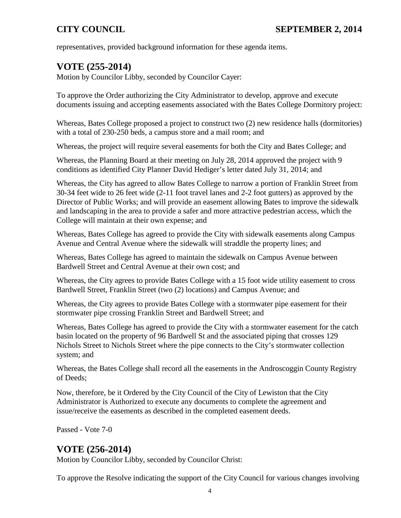representatives, provided background information for these agenda items.

# **VOTE (255-2014)**

Motion by Councilor Libby, seconded by Councilor Cayer:

To approve the Order authorizing the City Administrator to develop, approve and execute documents issuing and accepting easements associated with the Bates College Dormitory project:

Whereas, Bates College proposed a project to construct two (2) new residence halls (dormitories) with a total of 230-250 beds, a campus store and a mail room; and

Whereas, the project will require several easements for both the City and Bates College; and

Whereas, the Planning Board at their meeting on July 28, 2014 approved the project with 9 conditions as identified City Planner David Hediger's letter dated July 31, 2014; and

Whereas, the City has agreed to allow Bates College to narrow a portion of Franklin Street from 30-34 feet wide to 26 feet wide (2-11 foot travel lanes and 2-2 foot gutters) as approved by the Director of Public Works; and will provide an easement allowing Bates to improve the sidewalk and landscaping in the area to provide a safer and more attractive pedestrian access, which the College will maintain at their own expense; and

Whereas, Bates College has agreed to provide the City with sidewalk easements along Campus Avenue and Central Avenue where the sidewalk will straddle the property lines; and

Whereas, Bates College has agreed to maintain the sidewalk on Campus Avenue between Bardwell Street and Central Avenue at their own cost; and

Whereas, the City agrees to provide Bates College with a 15 foot wide utility easement to cross Bardwell Street, Franklin Street (two (2) locations) and Campus Avenue; and

Whereas, the City agrees to provide Bates College with a stormwater pipe easement for their stormwater pipe crossing Franklin Street and Bardwell Street; and

Whereas, Bates College has agreed to provide the City with a stormwater easement for the catch basin located on the property of 96 Bardwell St and the associated piping that crosses 129 Nichols Street to Nichols Street where the pipe connects to the City's stormwater collection system; and

Whereas, the Bates College shall record all the easements in the Androscoggin County Registry of Deeds;

Now, therefore, be it Ordered by the City Council of the City of Lewiston that the City Administrator is Authorized to execute any documents to complete the agreement and issue/receive the easements as described in the completed easement deeds.

Passed - Vote 7-0

## **VOTE (256-2014)**

Motion by Councilor Libby, seconded by Councilor Christ:

To approve the Resolve indicating the support of the City Council for various changes involving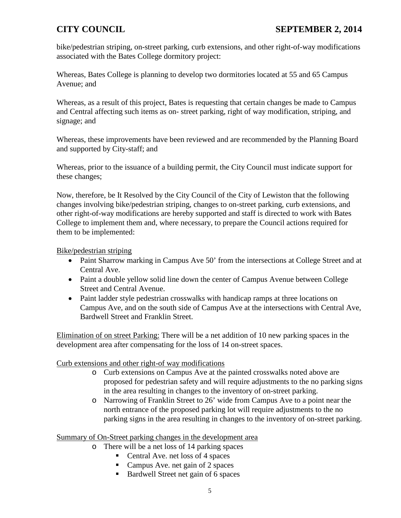bike/pedestrian striping, on-street parking, curb extensions, and other right-of-way modifications associated with the Bates College dormitory project:

Whereas, Bates College is planning to develop two dormitories located at 55 and 65 Campus Avenue; and

Whereas, as a result of this project, Bates is requesting that certain changes be made to Campus and Central affecting such items as on- street parking, right of way modification, striping, and signage; and

Whereas, these improvements have been reviewed and are recommended by the Planning Board and supported by City-staff; and

Whereas, prior to the issuance of a building permit, the City Council must indicate support for these changes;

Now, therefore, be It Resolved by the City Council of the City of Lewiston that the following changes involving bike/pedestrian striping, changes to on-street parking, curb extensions, and other right-of-way modifications are hereby supported and staff is directed to work with Bates College to implement them and, where necessary, to prepare the Council actions required for them to be implemented:

#### Bike/pedestrian striping

- Paint Sharrow marking in Campus Ave 50' from the intersections at College Street and at Central Ave.
- Paint a double yellow solid line down the center of Campus Avenue between College Street and Central Avenue.
- Paint ladder style pedestrian crosswalks with handicap ramps at three locations on Campus Ave, and on the south side of Campus Ave at the intersections with Central Ave, Bardwell Street and Franklin Street.

Elimination of on street Parking: There will be a net addition of 10 new parking spaces in the development area after compensating for the loss of 14 on-street spaces.

#### Curb extensions and other right-of way modifications

- o Curb extensions on Campus Ave at the painted crosswalks noted above are proposed for pedestrian safety and will require adjustments to the no parking signs in the area resulting in changes to the inventory of on-street parking.
- o Narrowing of Franklin Street to 26' wide from Campus Ave to a point near the north entrance of the proposed parking lot will require adjustments to the no parking signs in the area resulting in changes to the inventory of on-street parking.

#### Summary of On-Street parking changes in the development area

- o There will be a net loss of 14 parking spaces
	- Central Ave. net loss of 4 spaces
	- Campus Ave. net gain of 2 spaces
	- Bardwell Street net gain of 6 spaces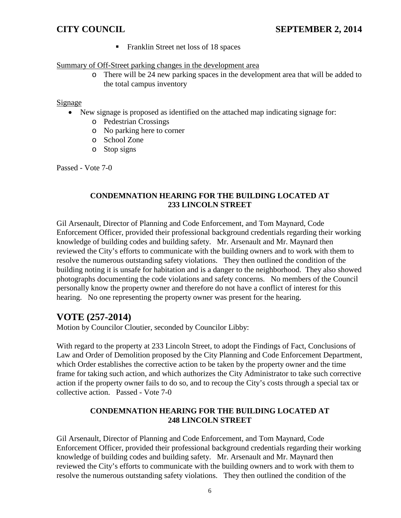Franklin Street net loss of 18 spaces

#### Summary of Off-Street parking changes in the development area

o There will be 24 new parking spaces in the development area that will be added to the total campus inventory

#### Signage

- New signage is proposed as identified on the attached map indicating signage for:
	- o Pedestrian Crossings
	- o No parking here to corner
	- o School Zone
	- o Stop signs

Passed - Vote 7-0

#### **CONDEMNATION HEARING FOR THE BUILDING LOCATED AT 233 LINCOLN STREET**

Gil Arsenault, Director of Planning and Code Enforcement, and Tom Maynard, Code Enforcement Officer, provided their professional background credentials regarding their working knowledge of building codes and building safety. Mr. Arsenault and Mr. Maynard then reviewed the City's efforts to communicate with the building owners and to work with them to resolve the numerous outstanding safety violations. They then outlined the condition of the building noting it is unsafe for habitation and is a danger to the neighborhood. They also showed photographs documenting the code violations and safety concerns. No members of the Council personally know the property owner and therefore do not have a conflict of interest for this hearing. No one representing the property owner was present for the hearing.

# **VOTE (257-2014)**

Motion by Councilor Cloutier, seconded by Councilor Libby:

With regard to the property at 233 Lincoln Street, to adopt the Findings of Fact, Conclusions of Law and Order of Demolition proposed by the City Planning and Code Enforcement Department, which Order establishes the corrective action to be taken by the property owner and the time frame for taking such action, and which authorizes the City Administrator to take such corrective action if the property owner fails to do so, and to recoup the City's costs through a special tax or collective action. Passed - Vote 7-0

### **CONDEMNATION HEARING FOR THE BUILDING LOCATED AT 248 LINCOLN STREET**

Gil Arsenault, Director of Planning and Code Enforcement, and Tom Maynard, Code Enforcement Officer, provided their professional background credentials regarding their working knowledge of building codes and building safety. Mr. Arsenault and Mr. Maynard then reviewed the City's efforts to communicate with the building owners and to work with them to resolve the numerous outstanding safety violations. They then outlined the condition of the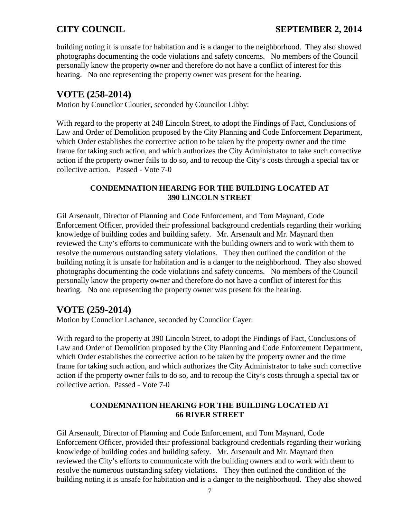building noting it is unsafe for habitation and is a danger to the neighborhood. They also showed photographs documenting the code violations and safety concerns. No members of the Council personally know the property owner and therefore do not have a conflict of interest for this hearing. No one representing the property owner was present for the hearing.

# **VOTE (258-2014)**

Motion by Councilor Cloutier, seconded by Councilor Libby:

With regard to the property at 248 Lincoln Street, to adopt the Findings of Fact, Conclusions of Law and Order of Demolition proposed by the City Planning and Code Enforcement Department, which Order establishes the corrective action to be taken by the property owner and the time frame for taking such action, and which authorizes the City Administrator to take such corrective action if the property owner fails to do so, and to recoup the City's costs through a special tax or collective action. Passed - Vote 7-0

#### **CONDEMNATION HEARING FOR THE BUILDING LOCATED AT 390 LINCOLN STREET**

Gil Arsenault, Director of Planning and Code Enforcement, and Tom Maynard, Code Enforcement Officer, provided their professional background credentials regarding their working knowledge of building codes and building safety. Mr. Arsenault and Mr. Maynard then reviewed the City's efforts to communicate with the building owners and to work with them to resolve the numerous outstanding safety violations. They then outlined the condition of the building noting it is unsafe for habitation and is a danger to the neighborhood. They also showed photographs documenting the code violations and safety concerns. No members of the Council personally know the property owner and therefore do not have a conflict of interest for this hearing. No one representing the property owner was present for the hearing.

# **VOTE (259-2014)**

Motion by Councilor Lachance, seconded by Councilor Cayer:

With regard to the property at 390 Lincoln Street, to adopt the Findings of Fact, Conclusions of Law and Order of Demolition proposed by the City Planning and Code Enforcement Department, which Order establishes the corrective action to be taken by the property owner and the time frame for taking such action, and which authorizes the City Administrator to take such corrective action if the property owner fails to do so, and to recoup the City's costs through a special tax or collective action. Passed - Vote 7-0

### **CONDEMNATION HEARING FOR THE BUILDING LOCATED AT 66 RIVER STREET**

Gil Arsenault, Director of Planning and Code Enforcement, and Tom Maynard, Code Enforcement Officer, provided their professional background credentials regarding their working knowledge of building codes and building safety. Mr. Arsenault and Mr. Maynard then reviewed the City's efforts to communicate with the building owners and to work with them to resolve the numerous outstanding safety violations. They then outlined the condition of the building noting it is unsafe for habitation and is a danger to the neighborhood. They also showed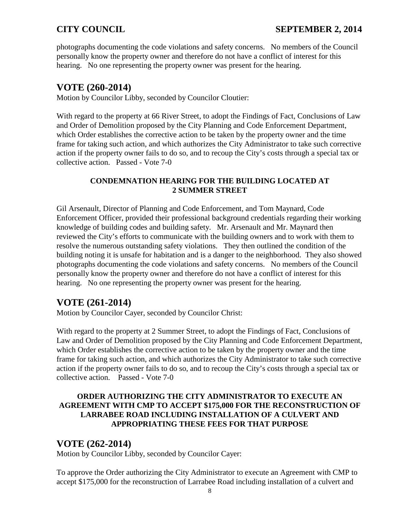photographs documenting the code violations and safety concerns. No members of the Council personally know the property owner and therefore do not have a conflict of interest for this hearing. No one representing the property owner was present for the hearing.

## **VOTE (260-2014)**

Motion by Councilor Libby, seconded by Councilor Cloutier:

With regard to the property at 66 River Street, to adopt the Findings of Fact, Conclusions of Law and Order of Demolition proposed by the City Planning and Code Enforcement Department, which Order establishes the corrective action to be taken by the property owner and the time frame for taking such action, and which authorizes the City Administrator to take such corrective action if the property owner fails to do so, and to recoup the City's costs through a special tax or collective action. Passed - Vote 7-0

#### **CONDEMNATION HEARING FOR THE BUILDING LOCATED AT 2 SUMMER STREET**

Gil Arsenault, Director of Planning and Code Enforcement, and Tom Maynard, Code Enforcement Officer, provided their professional background credentials regarding their working knowledge of building codes and building safety. Mr. Arsenault and Mr. Maynard then reviewed the City's efforts to communicate with the building owners and to work with them to resolve the numerous outstanding safety violations. They then outlined the condition of the building noting it is unsafe for habitation and is a danger to the neighborhood. They also showed photographs documenting the code violations and safety concerns. No members of the Council personally know the property owner and therefore do not have a conflict of interest for this hearing. No one representing the property owner was present for the hearing.

# **VOTE (261-2014)**

Motion by Councilor Cayer, seconded by Councilor Christ:

With regard to the property at 2 Summer Street, to adopt the Findings of Fact, Conclusions of Law and Order of Demolition proposed by the City Planning and Code Enforcement Department, which Order establishes the corrective action to be taken by the property owner and the time frame for taking such action, and which authorizes the City Administrator to take such corrective action if the property owner fails to do so, and to recoup the City's costs through a special tax or collective action. Passed - Vote 7-0

### **ORDER AUTHORIZING THE CITY ADMINISTRATOR TO EXECUTE AN AGREEMENT WITH CMP TO ACCEPT \$175,000 FOR THE RECONSTRUCTION OF LARRABEE ROAD INCLUDING INSTALLATION OF A CULVERT AND APPROPRIATING THESE FEES FOR THAT PURPOSE**

## **VOTE (262-2014)**

Motion by Councilor Libby, seconded by Councilor Cayer:

To approve the Order authorizing the City Administrator to execute an Agreement with CMP to accept \$175,000 for the reconstruction of Larrabee Road including installation of a culvert and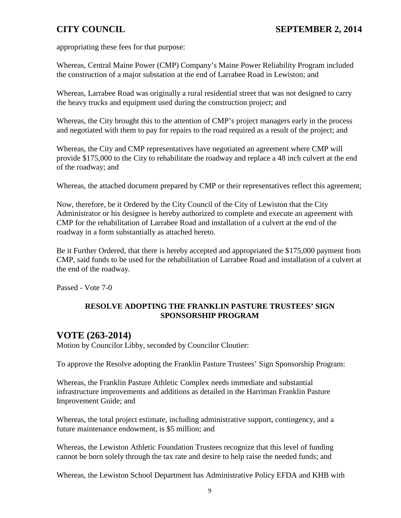appropriating these fees for that purpose:

Whereas, Central Maine Power (CMP) Company's Maine Power Reliability Program included the construction of a major substation at the end of Larrabee Road in Lewiston; and

Whereas, Larrabee Road was originally a rural residential street that was not designed to carry the heavy trucks and equipment used during the construction project; and

Whereas, the City brought this to the attention of CMP's project managers early in the process and negotiated with them to pay for repairs to the road required as a result of the project; and

Whereas, the City and CMP representatives have negotiated an agreement where CMP will provide \$175,000 to the City to rehabilitate the roadway and replace a 48 inch culvert at the end of the roadway; and

Whereas, the attached document prepared by CMP or their representatives reflect this agreement;

Now, therefore, be it Ordered by the City Council of the City of Lewiston that the City Administrator or his designee is hereby authorized to complete and execute an agreement with CMP for the rehabilitation of Larrabee Road and installation of a culvert at the end of the roadway in a form substantially as attached hereto.

Be it Further Ordered, that there is hereby accepted and appropriated the \$175,000 payment from CMP, said funds to be used for the rehabilitation of Larrabee Road and installation of a culvert at the end of the roadway.

Passed - Vote 7-0

## **RESOLVE ADOPTING THE FRANKLIN PASTURE TRUSTEES' SIGN SPONSORSHIP PROGRAM**

# **VOTE (263-2014)**

Motion by Councilor Libby, seconded by Councilor Cloutier:

To approve the Resolve adopting the Franklin Pasture Trustees' Sign Sponsorship Program:

Whereas, the Franklin Pasture Athletic Complex needs immediate and substantial infrastructure improvements and additions as detailed in the Harriman Franklin Pasture Improvement Guide; and

Whereas, the total project estimate, including administrative support, contingency, and a future maintenance endowment, is \$5 million; and

Whereas, the Lewiston Athletic Foundation Trustees recognize that this level of funding cannot be born solely through the tax rate and desire to help raise the needed funds; and

Whereas, the Lewiston School Department has Administrative Policy EFDA and KHB with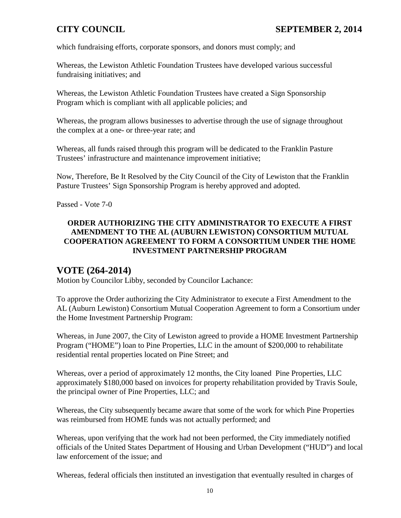which fundraising efforts, corporate sponsors, and donors must comply; and

Whereas, the Lewiston Athletic Foundation Trustees have developed various successful fundraising initiatives; and

Whereas, the Lewiston Athletic Foundation Trustees have created a Sign Sponsorship Program which is compliant with all applicable policies; and

Whereas, the program allows businesses to advertise through the use of signage throughout the complex at a one- or three-year rate; and

Whereas, all funds raised through this program will be dedicated to the Franklin Pasture Trustees' infrastructure and maintenance improvement initiative;

Now, Therefore, Be It Resolved by the City Council of the City of Lewiston that the Franklin Pasture Trustees' Sign Sponsorship Program is hereby approved and adopted.

Passed - Vote 7-0

#### **ORDER AUTHORIZING THE CITY ADMINISTRATOR TO EXECUTE A FIRST AMENDMENT TO THE AL (AUBURN LEWISTON) CONSORTIUM MUTUAL COOPERATION AGREEMENT TO FORM A CONSORTIUM UNDER THE HOME INVESTMENT PARTNERSHIP PROGRAM**

## **VOTE (264-2014)**

Motion by Councilor Libby, seconded by Councilor Lachance:

To approve the Order authorizing the City Administrator to execute a First Amendment to the AL (Auburn Lewiston) Consortium Mutual Cooperation Agreement to form a Consortium under the Home Investment Partnership Program:

Whereas, in June 2007, the City of Lewiston agreed to provide a HOME Investment Partnership Program ("HOME") loan to Pine Properties, LLC in the amount of \$200,000 to rehabilitate residential rental properties located on Pine Street; and

Whereas, over a period of approximately 12 months, the City loaned Pine Properties, LLC approximately \$180,000 based on invoices for property rehabilitation provided by Travis Soule, the principal owner of Pine Properties, LLC; and

Whereas, the City subsequently became aware that some of the work for which Pine Properties was reimbursed from HOME funds was not actually performed; and

Whereas, upon verifying that the work had not been performed, the City immediately notified officials of the United States Department of Housing and Urban Development ("HUD") and local law enforcement of the issue; and

Whereas, federal officials then instituted an investigation that eventually resulted in charges of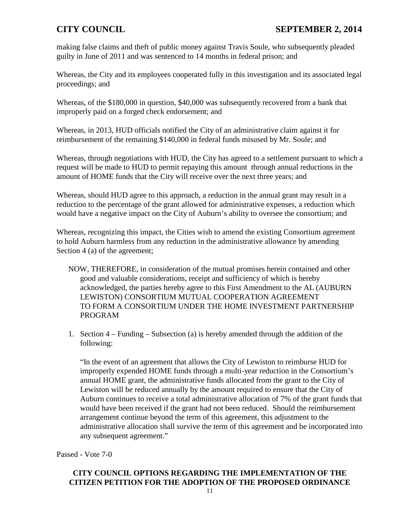making false claims and theft of public money against Travis Soule, who subsequently pleaded guilty in June of 2011 and was sentenced to 14 months in federal prison; and

Whereas, the City and its employees cooperated fully in this investigation and its associated legal proceedings; and

Whereas, of the \$180,000 in question, \$40,000 was subsequently recovered from a bank that improperly paid on a forged check endorsement; and

Whereas, in 2013, HUD officials notified the City of an administrative claim against it for reimbursement of the remaining \$140,000 in federal funds misused by Mr. Soule; and

Whereas, through negotiations with HUD, the City has agreed to a settlement pursuant to which a request will be made to HUD to permit repaying this amount through annual reductions in the amount of HOME funds that the City will receive over the next three years; and

Whereas, should HUD agree to this approach, a reduction in the annual grant may result in a reduction to the percentage of the grant allowed for administrative expenses, a reduction which would have a negative impact on the City of Auburn's ability to oversee the consortium; and

Whereas, recognizing this impact, the Cities wish to amend the existing Consortium agreement to hold Auburn harmless from any reduction in the administrative allowance by amending Section 4 (a) of the agreement;

- NOW, THEREFORE, in consideration of the mutual promises herein contained and other good and valuable considerations, receipt and sufficiency of which is hereby acknowledged, the parties hereby agree to this First Amendment to the AL (AUBURN LEWISTON) CONSORTIUM MUTUAL COOPERATION AGREEMENT TO FORM A CONSORTIUM UNDER THE HOME INVESTMENT PARTNERSHIP PROGRAM
- 1. Section 4 Funding Subsection (a) is hereby amended through the addition of the following:

"In the event of an agreement that allows the City of Lewiston to reimburse HUD for improperly expended HOME funds through a multi-year reduction in the Consortium's annual HOME grant, the administrative funds allocated from the grant to the City of Lewiston will be reduced annually by the amount required to ensure that the City of Auburn continues to receive a total administrative allocation of 7% of the grant funds that would have been received if the grant had not been reduced. Should the reimbursement arrangement continue beyond the term of this agreement, this adjustment to the administrative allocation shall survive the term of this agreement and be incorporated into any subsequent agreement."

Passed - Vote 7-0

### **CITY COUNCIL OPTIONS REGARDING THE IMPLEMENTATION OF THE CITIZEN PETITION FOR THE ADOPTION OF THE PROPOSED ORDINANCE**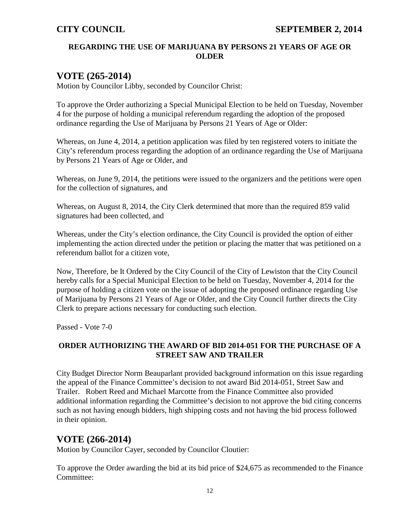## **REGARDING THE USE OF MARIJUANA BY PERSONS 21 YEARS OF AGE OR OLDER**

# **VOTE (265-2014)**

Motion by Councilor Libby, seconded by Councilor Christ:

To approve the Order authorizing a Special Municipal Election to be held on Tuesday, November 4 for the purpose of holding a municipal referendum regarding the adoption of the proposed ordinance regarding the Use of Marijuana by Persons 21 Years of Age or Older:

Whereas, on June 4, 2014, a petition application was filed by ten registered voters to initiate the City's referendum process regarding the adoption of an ordinance regarding the Use of Marijuana by Persons 21 Years of Age or Older, and

Whereas, on June 9, 2014, the petitions were issued to the organizers and the petitions were open for the collection of signatures, and

Whereas, on August 8, 2014, the City Clerk determined that more than the required 859 valid signatures had been collected, and

Whereas, under the City's election ordinance, the City Council is provided the option of either implementing the action directed under the petition or placing the matter that was petitioned on a referendum ballot for a citizen vote,

Now, Therefore, be It Ordered by the City Council of the City of Lewiston that the City Council hereby calls for a Special Municipal Election to be held on Tuesday, November 4, 2014 for the purpose of holding a citizen vote on the issue of adopting the proposed ordinance regarding Use of Marijuana by Persons 21 Years of Age or Older, and the City Council further directs the City Clerk to prepare actions necessary for conducting such election.

Passed - Vote 7-0

## **ORDER AUTHORIZING THE AWARD OF BID 2014-051 FOR THE PURCHASE OF A STREET SAW AND TRAILER**

City Budget Director Norm Beauparlant provided background information on this issue regarding the appeal of the Finance Committee's decision to not award Bid 2014-051, Street Saw and Trailer. Robert Reed and Michael Marcotte from the Finance Committee also provided additional information regarding the Committee's decision to not approve the bid citing concerns such as not having enough bidders, high shipping costs and not having the bid process followed in their opinion.

# **VOTE (266-2014)**

Motion by Councilor Cayer, seconded by Councilor Cloutier:

To approve the Order awarding the bid at its bid price of \$24,675 as recommended to the Finance Committee: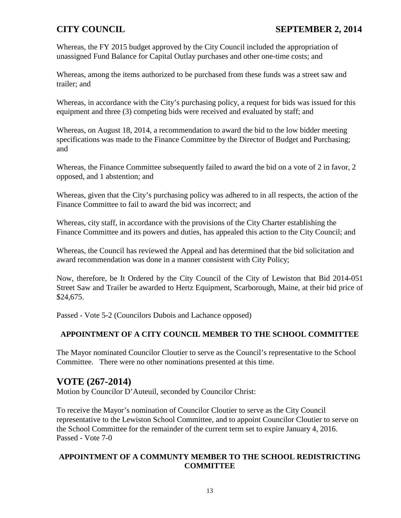Whereas, the FY 2015 budget approved by the City Council included the appropriation of unassigned Fund Balance for Capital Outlay purchases and other one-time costs; and

Whereas, among the items authorized to be purchased from these funds was a street saw and trailer; and

Whereas, in accordance with the City's purchasing policy, a request for bids was issued for this equipment and three (3) competing bids were received and evaluated by staff; and

Whereas, on August 18, 2014, a recommendation to award the bid to the low bidder meeting specifications was made to the Finance Committee by the Director of Budget and Purchasing; and

Whereas, the Finance Committee subsequently failed to award the bid on a vote of 2 in favor, 2 opposed, and 1 abstention; and

Whereas, given that the City's purchasing policy was adhered to in all respects, the action of the Finance Committee to fail to award the bid was incorrect; and

Whereas, city staff, in accordance with the provisions of the City Charter establishing the Finance Committee and its powers and duties, has appealed this action to the City Council; and

Whereas, the Council has reviewed the Appeal and has determined that the bid solicitation and award recommendation was done in a manner consistent with City Policy;

Now, therefore, be It Ordered by the City Council of the City of Lewiston that Bid 2014-051 Street Saw and Trailer be awarded to Hertz Equipment, Scarborough, Maine, at their bid price of \$24,675.

Passed - Vote 5-2 (Councilors Dubois and Lachance opposed)

## **APPOINTMENT OF A CITY COUNCIL MEMBER TO THE SCHOOL COMMITTEE**

The Mayor nominated Councilor Cloutier to serve as the Council's representative to the School Committee. There were no other nominations presented at this time.

# **VOTE (267-2014)**

Motion by Councilor D'Auteuil, seconded by Councilor Christ:

To receive the Mayor's nomination of Councilor Cloutier to serve as the City Council representative to the Lewiston School Committee, and to appoint Councilor Cloutier to serve on the School Committee for the remainder of the current term set to expire January 4, 2016. Passed - Vote 7-0

### **APPOINTMENT OF A COMMUNTY MEMBER TO THE SCHOOL REDISTRICTING COMMITTEE**